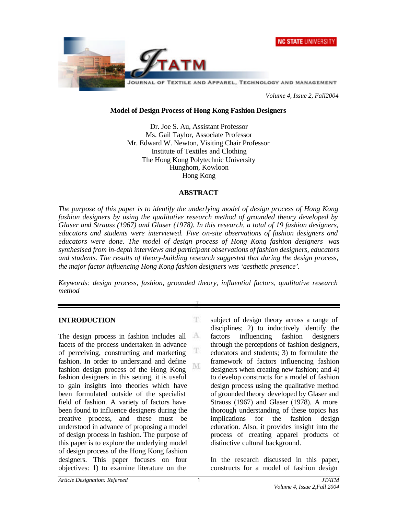



*Volume 4, Issue 2, Fall2004*

#### **Model of Design Process of Hong Kong Fashion Designers**

Dr. Joe S. Au, Assistant Professor Ms. Gail Taylor, Associate Professor Mr. Edward W. Newton, Visiting Chair Professor Institute of Textiles and Clothing The Hong Kong Polytechnic University Hunghom, Kowloon Hong Kong

### **ABSTRACT**

*The purpose of this paper is to identify the underlying model of design process of Hong Kong fashion designers by using the qualitative research method of grounded theory developed by Glaser and Strauss (1967) and Glaser (1978). In this research, a total of 19 fashion designers, educators and students were interviewed. Five on-site observations of fashion designers and educators were done. The model of design process of Hong Kong fashion designers was synthesised from in-depth interviews and participant observations of fashion designers, educators and students. The results of theory-building research suggested that during the design process, the major factor influencing Hong Kong fashion designers was 'aesthetic presence'.*

*Keywords: design process, fashion, grounded theory, influential factors, qualitative research method*

T.

T

M

#### **INTRODUCTION**

 $\Lambda$ The design process in fashion includes all facets of the process undertaken in advance of perceiving, constructing and marketing fashion. In order to understand and define fashion design process of the Hong Kong fashion designers in this setting, it is useful to gain insights into theories which have been formulated outside of the specialist field of fashion. A variety of factors have been found to influence designers during the creative process, and these must be understood in advance of proposing a model of design process in fashion. The purpose of this paper is to explore the underlying model of design process of the Hong Kong fashion designers. This paper focuses on four objectives: 1) to examine literature on the

subject of design theory across a range of disciplines; 2) to inductively identify the factors influencing fashion designers through the perceptions of fashion designers, educators and students; 3) to formulate the framework of factors influencing fashion designers when creating new fashion; and 4) to develop constructs for a model of fashion design process using the qualitative method of grounded theory developed by Glaser and Strauss (1967) and Glaser (1978). A more thorough understanding of these topics has implications for the fashion design education. Also, it provides insight into the process of creating apparel products of distinctive cultural background.

In the research discussed in this paper, constructs for a model of fashion design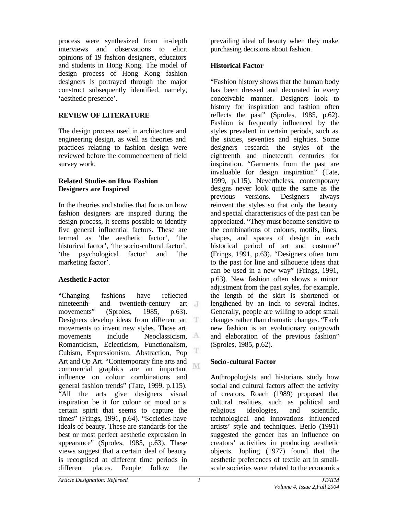process were synthesized from in-depth interviews and observations to elicit opinions of 19 fashion designers, educators and students in Hong Kong. The model of design process of Hong Kong fashion designers is portrayed through the major construct subsequently identified, namely, 'aesthetic presence'.

## **REVIEW OF LITERATURE**

The design process used in architecture and engineering design, as well as theories and practices relating to fashion design were reviewed before the commencement of field survey work.

### **Related Studies on How Fashion Designers are Inspired**

In the theories and studies that focus on how fashion designers are inspired during the design process, it seems possible to identify five general influential factors. These are termed as 'the aesthetic factor', 'the historical factor', 'the socio-cultural factor', 'the psychological factor' and 'the marketing factor'.

# **Aesthetic Factor**

"Changing fashions have reflected nineteenth- and twentieth-century art movements" (Sproles, 1985, p.63). Designers develop ideas from different art movements to invent new styles. Those art movements include Neoclassicism, Romanticism, Eclecticism, Functionalism, T Cubism, Expressionism, Abstraction, Pop Art and Op Art. "Contemporary fine arts and M commercial graphics are an important influence on colour combinations and general fashion trends" (Tate, 1999, p.115). "All the arts give designers visual inspiration be it for colour or mood or a certain spirit that seems to capture the times" (Frings, 1991, p.64). "Societies have ideals of beauty. These are standards for the best or most perfect aesthetic expression in appearance" (Sproles, 1985, p.63). These views suggest that a certain ideal of beauty is recognised at different time periods in different places. People follow the

prevailing ideal of beauty when they make purchasing decisions about fashion.

# **Historical Factor**

"Fashion history shows that the human body has been dressed and decorated in every conceivable manner. Designers look to history for inspiration and fashion often reflects the past" (Sproles, 1985, p.62). Fashion is frequently influenced by the styles prevalent in certain periods, such as the sixties, seventies and eighties. Some designers research the styles of the eighteenth and nineteenth centuries for inspiration. "Garments from the past are invaluable for design inspiration" (Tate, 1999, p.115). Nevertheless, contemporary designs never look quite the same as the previous versions. Designers always reinvent the styles so that only the beauty and special characteristics of the past can be appreciated. "They must become sensitive to the combinations of colours, motifs, lines, shapes, and spaces of design in each historical period of art and costume" (Frings, 1991, p.63). "Designers often turn to the past for line and silhouette ideas that can be used in a new way" (Frings, 1991, p.63). New fashion often shows a minor adjustment from the past styles, for example, the length of the skirt is shortened or lengthened by an inch to several inches. Generally, people are willing to adopt small changes rather than dramatic changes. "Each new fashion is an evolutionary outgrowth and elaboration of the previous fashion" (Sproles, 1985, p.62).

# **Socio-cultural Factor**

Anthropologists and historians study how social and cultural factors affect the activity of creators. Roach (1989) proposed that cultural realities, such as political and religious ideologies, and scientific, technological and innovations influenced artists' style and techniques. Berlo (1991) suggested the gender has an influence on creators' activities in producing aesthetic objects. Jopling (1977) found that the aesthetic preferences of textile art in smallscale societies were related to the economics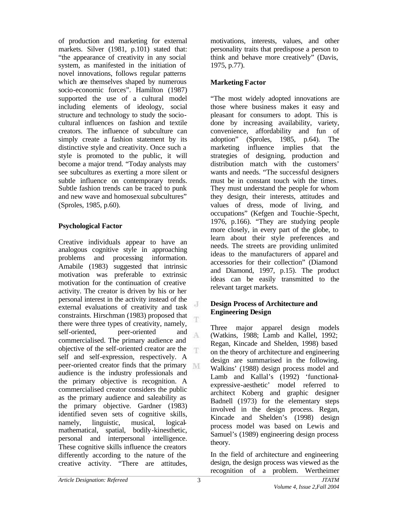of production and marketing for external markets. Silver (1981, p.101) stated that: "the appearance of creativity in any social system, as manifested in the initiation of novel innovations, follows regular patterns which are themselves shaped by numerous socio-economic forces". Hamilton (1987) supported the use of a cultural model including elements of ideology, social structure and technology to study the sociocultural influences on fashion and textile creators. The influence of subculture can simply create a fashion statement by its distinctive style and creativity. Once such a style is promoted to the public, it will become a major trend. "Today analysts may see subcultures as exerting a more silent or subtle influence on contemporary trends. Subtle fashion trends can be traced to punk and new wave and homosexual subcultures" (Sproles, 1985, p.60).

## **Psychological Factor**

Creative individuals appear to have an analogous cognitive style in approaching problems and processing information. Amabile (1983) suggested that intrinsic motivation was preferable to extrinsic motivation for the continuation of creative activity. The creator is driven by his or her personal interest in the activity instead of the J external evaluations of creativity and task constraints. Hirschman (1983) proposed that there were three types of creativity, namely, self-oriented, peer-oriented and A commercialised. The primary audience and objective of the self-oriented creator are the T. self and self-expression, respectively. A peer-oriented creator finds that the primary audience is the industry professionals and the primary objective is recognition. A commercialised creator considers the public as the primary audience and saleability as the primary objective. Gardner (1983) identified seven sets of cognitive skills, namely, linguistic, musical, logicalmathematical, spatial, bodily-kinesthetic, personal and interpersonal intelligence. These cognitive skills influence the creators differently according to the nature of the creative activity. "There are attitudes,

motivations, interests, values, and other personality traits that predispose a person to think and behave more creatively" (Davis, 1975, p.77).

## **Marketing Factor**

"The most widely adopted innovations are those where business makes it easy and pleasant for consumers to adopt. This is done by increasing availability, variety, convenience, affordability and fun of adoption" (Sproles, 1985, p.64). The marketing influence implies that the strategies of designing, production and distribution match with the customers' wants and needs. "The successful designers must be in constant touch with the times. They must understand the people for whom they design, their interests, attitudes and values of dress, mode of living, and occupations" (Kefgen and Touchie -Specht, 1976, p.166). "They are studying people more closely, in every part of the globe, to learn about their style preferences and needs. The streets are providing unlimited ideas to the manufacturers of apparel and accessories for their collection" (Diamond and Diamond, 1997, p.15). The product ideas can be easily transmitted to the relevant target markets.

## **Design Process of Architecture and Engineering Design**

Three major apparel design models (Watkins, 1988; Lamb and Kallel, 1992; Regan, Kincade and Shelden, 1998) based on the theory of architecture and engineering design are summarised in the following. Walkins' (1988) design process model and Lamb and Kallal's (1992) 'functionalexpressive-aesthetic' model referred to architect Koberg and graphic designer Badnell (1973) for the elementary steps involved in the design process. Regan, Kincade and Shelden's (1998) design process model was based on Lewis and Samuel's (1989) engineering design process theory.

In the field of architecture and engineering design, the design process was viewed as the recognition of a problem. Wertheimer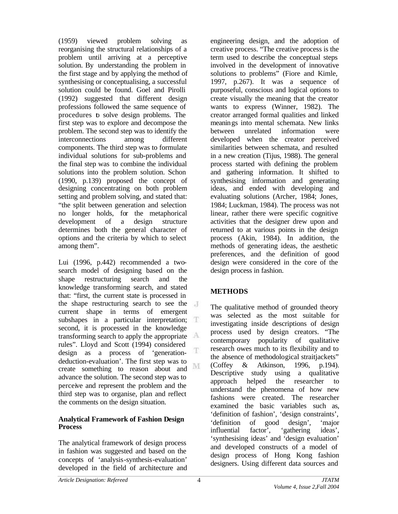(1959) viewed problem solving as reorganising the structural relationships of a problem until arriving at a perceptive solution. By understanding the problem in the first stage and by applying the method of synthesising or conceptualising, a successful solution could be found. Goel and Pirolli (1992) suggested that different design professions followed the same sequence of procedures to solve design problems. The first step was to explore and decompose the problem. The second step was to identify the interconnections among different components. The third step was to formulate individual solutions for sub-problems and the final step was to combine the individual solutions into the problem solution. Schon (1990, p.139) proposed the concept of designing concentrating on both problem setting and problem solving, and stated that: "the split between generation and selection no longer holds, for the metaphorical development of a design structure determines both the general character of options and the criteria by which to select among them".

Lui (1996, p.442) recommended a twosearch model of designing based on the shape restructuring search and the knowledge transforming search, and stated that: "first, the current state is processed in the shape restructuring search to see the current shape in terms of emergent subshapes in a particular interpretation; second, it is processed in the knowledge transforming search to apply the appropriate rules". Lloyd and Scott (1994) considered T design as a process of 'generationdeduction-evaluation'. The first step was to M create something to reason about and advance the solution. The second step was to perceive and represent the problem and the third step was to organise, plan and reflect the comments on the design situation.

## **Analytical Framework of Fashion Design Process**

The analytical framework of design process in fashion was suggested and based on the concepts of 'analysis-synthesis-evaluation' developed in the field of architecture and engineering design, and the adoption of creative process. "The creative process is the term used to describe the conceptual steps involved in the development of innovative solutions to problems" (Fiore and Kimle, 1997, p.267). It was a sequence of purposeful, conscious and logical options to create visually the meaning that the creator wants to express (Winner, 1982). The creator arranged formal qualities and linked meanings into mental schemata. New links between unrelated information were developed when the creator perceived similarities between schemata, and resulted in a new creation (Tijus, 1988). The general process started with defining the problem and gathering information. It shifted to synthesising information and generating ideas, and ended with developing and evaluating solutions (Archer, 1984; Jones, 1984; Luckman, 1984). The process was not linear, rather there were specific cognitive activities that the designer drew upon and returned to at various points in the design process (Akin, 1984). In addition, the methods of generating ideas, the aesthetic preferences, and the definition of good design were considered in the core of the design process in fashion.

# **METHODS**

The qualitative method of grounded theory was selected as the most suitable for investigating inside descriptions of design process used by design creators. "The contemporary popularity of qualitative research owes much to its flexibility and to the absence of methodological straitjackets" (Coffey & Atkinson, 1996, p.194). Descriptive study using a qualitative approach helped the researcher to understand the phenomena of how new fashions were created. The researcher examined the basic variables such as, 'definition of fashion', 'design constraints', 'definition of good design', 'major influential factor', 'gathering ideas', 'synthesising ideas' and 'design evaluation' and developed constructs of a model of design process of Hong Kong fashion designers. Using different data sources and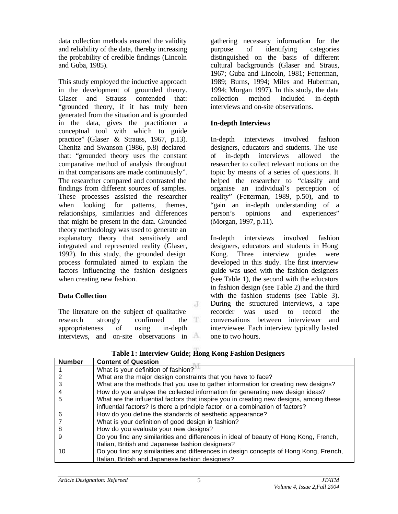data collection methods ensured the validity and reliability of the data, thereby increasing the probability of credible findings (Lincoln and Guba, 1985).

This study employed the inductive approach in the development of grounded theory. Glaser and Strauss contended that: "grounded theory, if it has truly been generated from the situation and is grounded in the data, gives the practitioner a conceptual tool with which to guide practice" (Glaser & Strauss, 1967, p.13). Chenitz and Swanson (1986, p.8) declared that: "grounded theory uses the constant comparative method of analysis throughout in that comparisons are made continuously". The researcher compared and contrasted the findings from different sources of samples. These processes assisted the researcher when looking for patterns, themes, relationships, similarities and differences that might be present in the data. Grounded theory methodology was used to generate an explanatory theory that sensitively and integrated and represented reality (Glaser, 1992). In this study, the grounded design process formulated aimed to explain the factors influencing the fashion designers when creating new fashion.

# **Data Collection**

The literature on the subject of qualitative research strongly confirmed the appropriateness of using in-depth interviews, and on-site observations in  $A$  gathering necessary information for the purpose of identifying categories distinguished on the basis of different cultural backgrounds (Glaser and Straus, 1967; Guba and Lincoln, 1981; Fetterman, 1989; Burns, 1994; Miles and Huberman, 1994; Morgan 1997). In this study, the data collection method included in-depth interviews and on-site observations.

## **In-depth Interviews**

In-depth interviews involved fashion designers, educators and students. The use of in-depth interviews allowed the researcher to collect relevant notions on the topic by means of a series of questions. It helped the researcher to "classify and organise an individual's perception of reality" (Fetterman, 1989, p.50), and to "gain an in-depth understanding of a person's opinions and experiences" (Morgan, 1997, p.11).

In-depth interviews involved fashion designers, educators and students in Hong Kong. Three interview guides were developed in this study. The first interview guide was used with the fashion designers (see Table 1), the second with the educators in fashion design (see Table 2) and the third with the fashion students (see Table 3). During the structured interviews, a tape recorder was used to record the conversations between interviewer and interviewee. Each interview typically lasted one to two hours.

| <b>Number</b> | <b>Content of Question</b>                                                             |
|---------------|----------------------------------------------------------------------------------------|
|               | What is your definition of fashion?                                                    |
|               | What are the major design constraints that you have to face?                           |
|               | What are the methods that you use to gather information for creating new designs?      |
|               | How do you analyse the collected information for generating new design ideas?          |
| 5             | What are the influential factors that inspire you in creating new designs, among these |
|               | influential factors? Is there a principle factor, or a combination of factors?         |
| 6             | How do you define the standards of aesthetic appearance?                               |
|               | What is your definition of good design in fashion?                                     |
| 8             | How do you evaluate your new designs?                                                  |
| 9             | Do you find any similarities and differences in ideal of beauty of Hong Kong, French,  |
|               | Italian, British and Japanese fashion designers?                                       |
| 10            | Do you find any similarities and differences in design concepts of Hong Kong, French,  |
|               | Italian, British and Japanese fashion designers?                                       |

**Table 1: Interview Guide; Hong Kong Fashion Designers**

J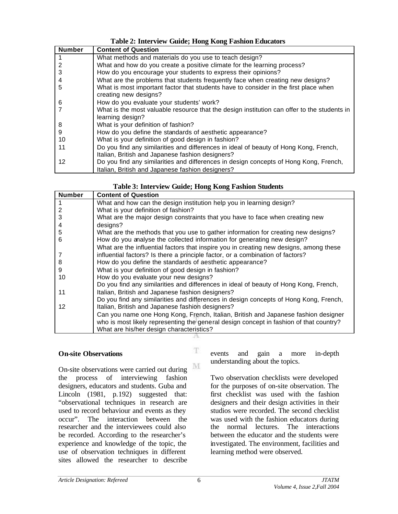## **Table 2: Interview Guide; Hong Kong Fashion Educators**

| <b>Number</b> | <b>Content of Question</b>                                                                                      |
|---------------|-----------------------------------------------------------------------------------------------------------------|
|               | What methods and materials do you use to teach design?                                                          |
|               | What and how do you create a positive climate for the learning process?                                         |
| 3             | How do you encourage your students to express their opinions?                                                   |
|               | What are the problems that students frequently face when creating new designs?                                  |
| 5             | What is most important factor that students have to consider in the first place when<br>creating new designs?   |
| 6             | How do you evaluate your students' work?                                                                        |
|               | What is the most valuable resource that the design institution can offer to the students in<br>learning design? |
| 8             | What is your definition of fashion?                                                                             |
| 9             | How do you define the standards of aesthetic appearance?                                                        |
| 10            | What is your definition of good design in fashion?                                                              |
| 11            | Do you find any similarities and differences in ideal of beauty of Hong Kong, French,                           |
|               | Italian, British and Japanese fashion designers?                                                                |
| 12            | Do you find any similarities and differences in design concepts of Hong Kong, French,                           |
|               | Italian, British and Japanese fashion designers?                                                                |

| <b>Number</b> | <b>Content of Question</b>                                                     |
|---------------|--------------------------------------------------------------------------------|
|               | What and how can the design institution help you in learning design?           |
|               | What is your definition of fashion?                                            |
| 3             | What are the major design constraints that you have to face when creating new  |
| 4             | designs?                                                                       |
| 5             | What are the methods that you use to gather information for creating new desig |

#### **Table 3: Interview Guide; Hong Kong Fashion Students**

| $\overline{4}$ | designs?                                                                               |
|----------------|----------------------------------------------------------------------------------------|
| 5              | What are the methods that you use to gather information for creating new designs?      |
| 6              | How do you analyse the collected information for generating new design?                |
|                | What are the influential factors that inspire you in creating new designs, among these |
|                | influential factors? Is there a principle factor, or a combination of factors?         |
| 8              | How do you define the standards of aesthetic appearance?                               |
| 9              | What is your definition of good design in fashion?                                     |
| 10             | How do you evaluate your new designs?                                                  |
|                | Do you find any similarities and differences in ideal of beauty of Hong Kong, French,  |
| 11             | Italian, British and Japanese fashion designers?                                       |
|                | Do you find any similarities and differences in design concepts of Hong Kong, French,  |
| 12             | Italian, British and Japanese fashion designers?                                       |
|                | Can you name one Hong Kong, French, Italian, British and Japanese fashion designer     |
|                | who is most likely representing the general design concept in fashion of that country? |
|                | What are his/her design characteristics?                                               |

А

T.

#### **On-site Observations**

1 2 3

M On-site observations were carried out during the process of interviewing fashion designers, educators and students. Guba and Lincoln (1981, p.192) suggested that: "observational techniques in research are used to record behaviour and events as they occur". The interaction between the researcher and the interviewees could also be recorded. According to the researcher's experience and knowledge of the topic, the use of observation techniques in different sites allowed the researcher to describe

events and gain a more in-depth understanding about the topics.

Two observation checklists were developed for the purposes of on-site observation. The first checklist was used with the fashion designers and their design activities in their studios were recorded. The second checklist was used with the fashion educators during the normal lectures. The interactions between the educator and the students were investigated. The environment, facilities and learning method were observed.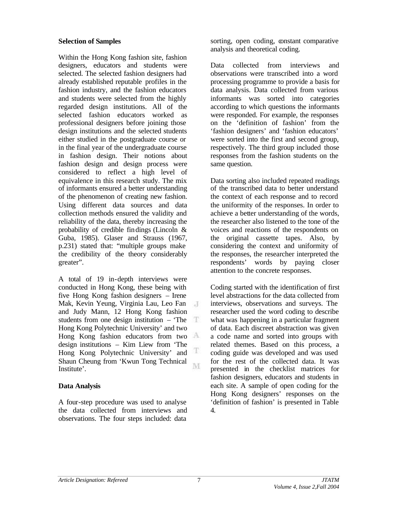### **Selection of Samples**

Within the Hong Kong fashion site, fashion designers, educators and students were selected. The selected fashion designers had already established reputable profiles in the fashion industry, and the fashion educators and students were selected from the highly regarded design institutions. All of the selected fashion educators worked as professional designers before joining those design institutions and the selected students either studied in the postgraduate course or in the final year of the undergraduate course in fashion design. Their notions about fashion design and design process were considered to reflect a high level of equivalence in this research study. The mix of informants ensured a better understanding of the phenomenon of creating new fashion. Using different data sources and data collection methods ensured the validity and reliability of the data, thereby increasing the probability of credible findings (Lincoln & Guba, 1985). Glaser and Strauss (1967, p.231) stated that: "multiple groups make the credibility of the theory considerably greater".

A total of 19 in-depth interviews were conducted in Hong Kong, these being with five Hong Kong fashion designers – Irene Mak, Kevin Yeung, Virginia Lau, Leo Fan  $\overline{A}$ and Judy Mann, 12 Hong Kong fashion students from one design institution – 'The Hong Kong Polytechnic University' and two Hong Kong fashion educators from two design institutions – Kim Liew from 'The Ŧ Hong Kong Polytechnic University' and Shaun Cheung from 'Kwun Tong Technical M. Institute'.

## **Data Analysis**

A four-step procedure was used to analyse the data collected from interviews and observations. The four steps included: data

sorting, open coding, constant comparative analysis and theoretical coding.

Data collected from interviews and observations were transcribed into a word processing programme to provide a basis for data analysis. Data collected from various informants was sorted into categories according to which questions the informants were responded. For example, the responses on the 'definition of fashion' from the 'fashion designers' and 'fashion educators' were sorted into the first and second group, respectively. The third group included those responses from the fashion students on the same question.

Data sorting also included repeated readings of the transcribed data to better understand the context of each response and to record the uniformity of the responses. In order to achieve a better understanding of the words, the researcher also listened to the tone of the voices and reactions of the respondents on the original cassette tapes. Also, by considering the context and uniformity of the responses, the researcher interpreted the respondents' words by paying closer attention to the concrete responses.

Coding started with the identification of first level abstractions for the data collected from interviews, observations and surveys. The researcher used the word coding to describe what was happening in a particular fragment of data. Each discreet abstraction was given a code name and sorted into groups with related themes. Based on this process, a coding guide was developed and was used for the rest of the collected data. It was presented in the checklist matrices for fashion designers, educators and students in each site. A sample of open coding for the Hong Kong designers' responses on the 'definition of fashion' is presented in Table 4.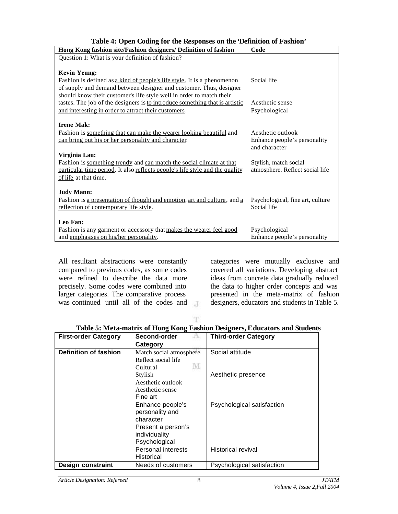| Hong Kong fashion site/Fashion designers/ Definition of fashion              | Code                             |  |
|------------------------------------------------------------------------------|----------------------------------|--|
| Question 1: What is your definition of fashion?                              |                                  |  |
|                                                                              |                                  |  |
| <b>Kevin Yeung:</b>                                                          |                                  |  |
| Fashion is defined as a kind of people's life style. It is a phenomenon      | Social life                      |  |
| of supply and demand between designer and customer. Thus, designer           |                                  |  |
| should know their customer's life style well in order to match their         |                                  |  |
| tastes. The job of the designers is to introduce something that is artistic  | Aesthetic sense                  |  |
| and interesting in order to attract their customers.                         | Psychological                    |  |
|                                                                              |                                  |  |
| <b>Irene Mak:</b>                                                            |                                  |  |
| Fashion is something that can make the wearer looking beautiful and          | Aesthetic outlook                |  |
| can bring out his or her personality and character.                          | Enhance people's personality     |  |
|                                                                              | and character                    |  |
| Virginia Lau:                                                                |                                  |  |
| Fashion is something trendy and can match the social climate at that         | Stylish, match social            |  |
| particular time period. It also reflects people's life style and the quality | atmosphere. Reflect social life  |  |
| of life at that time.                                                        |                                  |  |
|                                                                              |                                  |  |
| <b>Judy Mann:</b>                                                            |                                  |  |
| Fashion is a presentation of thought and emotion, art and culture, and a     | Psychological, fine art, culture |  |
| reflection of contemporary life style.                                       | Social life                      |  |
|                                                                              |                                  |  |
| Leo Fan:                                                                     |                                  |  |
| Fashion is any garment or accessory that makes the wearer feel good          | Psychological                    |  |
| and emphasises on his/her personality.                                       | Enhance people's personality     |  |

**Table 4: Open Coding for the Responses on the 'Definition of Fashion'**

All resultant abstractions were constantly compared to previous codes, as some codes were refined to describe the data more precisely. Some codes were combined into larger categories. The comparative process was continued until all of the codes and

categories were mutually exclusive and covered all variations. Developing abstract ideas from concrete data gradually reduced the data to higher order concepts and was presented in the meta-matrix of fashion designers, educators and students in Table 5.

T.

 $\mathcal{A}$ 

| Table 5: Meta-matrix of Hong Kong Fashion Designers, Educators and Students |  |  |  |  |
|-----------------------------------------------------------------------------|--|--|--|--|
|                                                                             |  |  |  |  |

| <b>First-order Category</b>  | Second-order            | <b>Third-order Category</b> |
|------------------------------|-------------------------|-----------------------------|
|                              | Category                |                             |
| <b>Definition of fashion</b> | Match social atmosphere | Social attitude             |
|                              | Reflect social life     |                             |
|                              | M<br>Cultural           |                             |
|                              | Stylish                 | Aesthetic presence          |
|                              | Aesthetic outlook       |                             |
|                              | Aesthetic sense         |                             |
|                              | Fine art                |                             |
|                              | Enhance people's        | Psychological satisfaction  |
|                              | personality and         |                             |
|                              | character               |                             |
|                              | Present a person's      |                             |
|                              | individuality           |                             |
|                              | Psychological           |                             |
|                              | Personal interests      | Historical revival          |
|                              | Historical              |                             |
| Design constraint            | Needs of customers      | Psychological satisfaction  |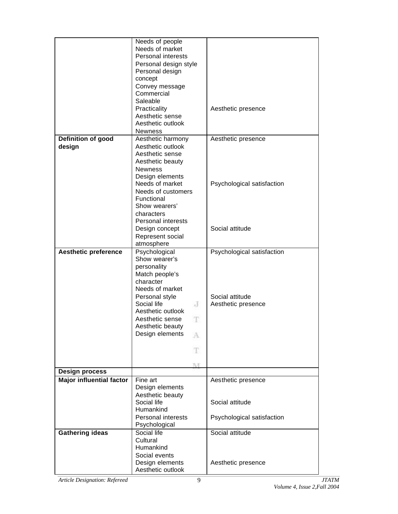| Needs of people                 |                                        |                            |
|---------------------------------|----------------------------------------|----------------------------|
|                                 | Needs of market                        |                            |
|                                 | Personal interests                     |                            |
|                                 | Personal design style                  |                            |
|                                 | Personal design                        |                            |
|                                 | concept                                |                            |
|                                 | Convey message                         |                            |
|                                 | Commercial                             |                            |
|                                 | Saleable                               |                            |
|                                 | Practicality                           | Aesthetic presence         |
|                                 | Aesthetic sense<br>Aesthetic outlook   |                            |
|                                 |                                        |                            |
|                                 | Newness                                |                            |
| Definition of good              | Aesthetic harmony<br>Aesthetic outlook | Aesthetic presence         |
| design                          | Aesthetic sense                        |                            |
|                                 | Aesthetic beauty                       |                            |
|                                 | <b>Newness</b>                         |                            |
|                                 | Design elements                        |                            |
|                                 | Needs of market                        | Psychological satisfaction |
|                                 | Needs of customers                     |                            |
|                                 | Functional                             |                            |
|                                 | Show wearers'                          |                            |
|                                 | characters                             |                            |
|                                 | Personal interests                     |                            |
|                                 | Design concept                         | Social attitude            |
|                                 | Represent social                       |                            |
|                                 | atmosphere                             |                            |
| <b>Aesthetic preference</b>     | Psychological                          | Psychological satisfaction |
|                                 | Show wearer's                          |                            |
|                                 | personality                            |                            |
|                                 | Match people's                         |                            |
|                                 | character                              |                            |
|                                 | Needs of market                        |                            |
|                                 | Personal style                         | Social attitude            |
|                                 | Social life<br>J                       | Aesthetic presence         |
|                                 | Aesthetic outlook                      |                            |
|                                 | Aesthetic sense<br>T                   |                            |
|                                 | Aesthetic beauty                       |                            |
|                                 | Design elements<br>A                   |                            |
|                                 |                                        |                            |
|                                 | Ŧ                                      |                            |
|                                 | M                                      |                            |
| <b>Design process</b>           |                                        |                            |
| <b>Major influential factor</b> | Fine art                               | Aesthetic presence         |
|                                 | Design elements                        |                            |
|                                 | Aesthetic beauty                       |                            |
|                                 | Social life                            | Social attitude            |
|                                 | Humankind                              |                            |
|                                 | Personal interests                     | Psychological satisfaction |
| Psychological                   |                                        |                            |
| <b>Gathering ideas</b>          | Social life                            | Social attitude            |
|                                 | Cultural                               |                            |
|                                 | Humankind                              |                            |
|                                 | Social events                          |                            |
|                                 | Design elements                        | Aesthetic presence         |
|                                 | Aesthetic outlook                      |                            |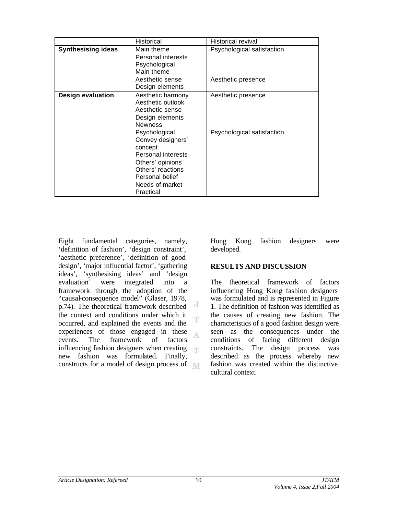|                           | Historical                                                                                                                                                      | Historical revival         |
|---------------------------|-----------------------------------------------------------------------------------------------------------------------------------------------------------------|----------------------------|
| <b>Synthesising ideas</b> | Main theme<br>Personal interests<br>Psychological<br>Main theme                                                                                                 | Psychological satisfaction |
|                           | Aesthetic sense<br>Design elements                                                                                                                              | Aesthetic presence         |
| <b>Design evaluation</b>  | Aesthetic harmony<br>Aesthetic outlook<br>Aesthetic sense<br>Design elements<br><b>Newness</b>                                                                  | Aesthetic presence         |
|                           | Psychological<br>Convey designers'<br>concept<br>Personal interests<br>Others' opinions<br>Others' reactions<br>Personal belief<br>Needs of market<br>Practical | Psychological satisfaction |

Eight fundamental categories, namely, 'definition of fashion', 'design constraint', 'aesthetic preference', 'definition of good design', 'major influential factor', 'gathering ideas', 'synthesising ideas' and 'design evaluation' were integrated into a framework through the adoption of the "causal-consequence model" (Glaser, 1978,  $\overline{d}$ p.74). The theoretical framework described the context and conditions under which it occurred, and explained the events and the experiences of those engaged in these A events. The framework of factors influencing fashion designers when creating 尔 new fashion was formulated. Finally, constructs for a model of design process of Hong Kong fashion designers were developed.

#### **RESULTS AND DISCUSSION**

The theoretical framework of factors influencing Hong Kong fashion designers was formulated and is represented in Figure 1. The definition of fashion was identified as the causes of creating new fashion. The characteristics of a good fashion design were seen as the consequences under the conditions of facing different design constraints. The design process was described as the process whereby new fashion was created within the distinctive cultural context.

T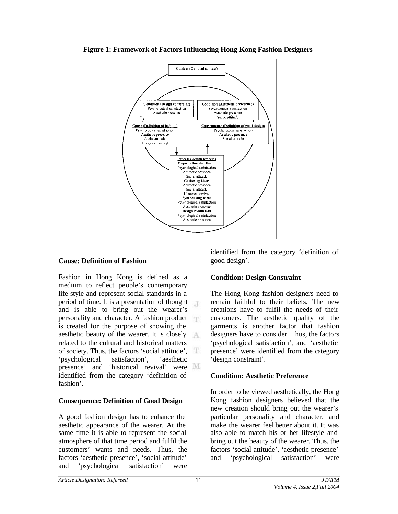

**Figure 1: Framework of Factors Influencing Hong Kong Fashion Designers**

# **Cause: Definition of Fashion**

Fashion in Hong Kong is defined as a medium to reflect people's contemporary life style and represent social standards in a period of time. It is a presentation of thought  $\mathcal{A}$ and is able to bring out the wearer's personality and character. A fashion product is created for the purpose of showing the aesthetic beauty of the wearer. It is closely  $\Delta$ related to the cultural and historical matters of society. Thus, the factors 'social attitude', 'psychological satisfaction', 'aesthetic presence' and 'historical revival' were identified from the category 'definition of fashion'.

# **Consequence: Definition of Good Design**

A good fashion design has to enhance the aesthetic appearance of the wearer. At the same time it is able to represent the social atmosphere of that time period and fulfil the customers' wants and needs. Thus, the factors 'aesthetic presence', 'social attitude' and 'psychological satisfaction' were

identified from the category 'definition of good design'.

# **Condition: Design Constraint**

The Hong Kong fashion designers need to remain faithful to their beliefs. The new creations have to fulfil the needs of their customers. The aesthetic quality of the garments is another factor that fashion designers have to consider. Thus, the factors 'psychological satisfaction', and 'aesthetic presence' were identified from the category 'design constraint'.

# **Condition: Aesthetic Preference**

In order to be viewed aesthetically, the Hong Kong fashion designers believed that the new creation should bring out the wearer's particular personality and character, and make the wearer feel better about it. It was also able to match his or her lifestyle and bring out the beauty of the wearer. Thus, the factors 'social attitude', 'aesthetic presence' and 'psychological satisfaction' were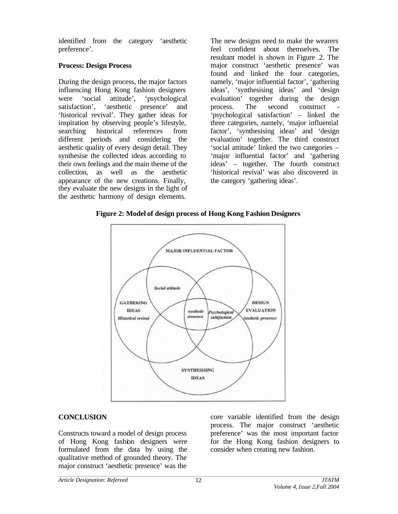identified from the category 'aesthetic preference'.

## **Process: Design Process**

During the design process, the major factors influencing Hong Kong fashion designers were 'social attitude', 'psychological satisfaction', 'aesthetic presence' and 'historical revival'. They gather ideas for inspiration by observing people's lifestyle, searching historical references from different periods and considering the aesthetic quality of every design detail. They synthesise the collected ideas according to their own feelings and the main theme of the collection, as well as the aesthetic appearance of the new creations. Finally, they evaluate the new designs in the light of the aesthetic harmony of design elements.

The new designs need to make the wearers feel confident about themselves. The resultant model is shown in Figure .2. The major construct 'aesthetic presence' was found and linked the four categories, namely, 'major influential factor', 'gathering ideas', 'synthesising ideas' and 'design evaluation' together during the design process. The second construct 'psychological satisfaction' – linked the three categories, namely, 'major influential factor', 'synthesising ideas' and 'design evaluation' together. The third construct 'social attitude' linked the two categories – 'major influential factor' and 'gathering ideas' – together. The fourth construct 'historical revival' was also discovered in the category 'gathering ideas'.

**Figure 2: Model of design process of Hong Kong Fashion Designers**



# **CONCLUSION**

Constructs toward a model of design process of Hong Kong fashion designers were formulated from the data by using the qualitative method of grounded theory. The major construct 'aesthetic presence' was the

core variable identified from the design process. The major construct 'aesthetic preference' was the most important factor for the Hong Kong fashion designers to consider when creating new fashion.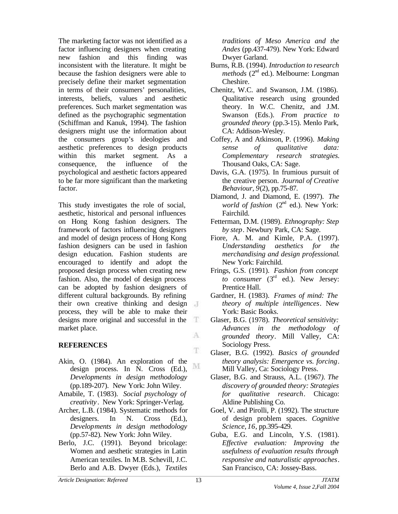The marketing factor was not identified as a factor influencing designers when creating new fashion and this finding was inconsistent with the literature. It might be because the fashion designers were able to precisely define their market segmentation in terms of their consumers' personalities, interests, beliefs, values and aesthetic preferences. Such market segmentation was defined as the psychographic segmentation (Schiffman and Kanuk, 1994). The fashion designers might use the information about the consumers group's ideologies and aesthetic preferences to design products within this market segment. As a consequence, the influence of the psychological and aesthetic factors appeared to be far more significant than the marketing factor.

This study investigates the role of social, aesthetic, historical and personal influences on Hong Kong fashion designers. The framework of factors influencing designers and model of design process of Hong Kong fashion designers can be used in fashion design education. Fashion students are encouraged to identify and adopt the proposed design process when creating new fashion. Also, the model of design process can be adopted by fashion designers of different cultural backgrounds. By refining their own creative thinking and design process, they will be able to make their designs more original and successful in the Œ. market place. A

## **REFERENCES**

- Akin, O. (1984). An exploration of the M design process. In N. Cross (Ed.), *Developments in design methodology* (pp.189-207). New York: John Wiley.
- Amabile, T. (1983). *Social psychology of creativity* . New York: Springer-Verlag.
- Archer, L.B. (1984). Systematic methods for designers. In N. Cross (Ed.), *Developments in design methodology* (pp.57-82). New York: John Wiley.
- Berlo, J.C. (1991). Beyond bricolage: Women and aesthetic strategies in Latin American textiles. In M.B. Schevill, J.C. Berlo and A.B. Dwyer (Eds.), *Textiles*

*traditions of Meso America and the Andes* (pp.437-479). New York: Edward Dwyer Garland.

- Burns, R.B. (1994). *Introduction to research methods* (2<sup>nd</sup> ed.). Melbourne: Longman Cheshire.
- Chenitz, W.C. and Swanson, J.M. (1986). Qualitative research using grounded theory. In W.C. Chenitz, and J.M. Swanson (Eds.). *From practice to grounded theory* (pp.3-15). Menlo Park, CA: Addison-Wesley.
- Coffey, A and Atkinson, P. (1996). *Making sense of qualitative data: Complementary research strategies.* Thousand Oaks, CA: Sage.
- Davis, G.A. (1975). In frumious pursuit of the creative person. *Journal of Creative Behaviour*, *9*(2), pp.75-87.
- Diamond, J. and Diamond, E. (1997). *The world of fashion*  $(2^{nd}$  ed.). New York: Fairchild.
- Fetterman, D.M. (1989). *Ethnography: Step by step*. Newbury Park, CA: Sage.
- Fiore, A. M. and Kimle, P.A. (1997). *Understanding aesthetics for the merchandising and design professional*. New York: Fairchild.
- Frings, G.S. (1991). *Fashion from concept to consumer* (3rd ed.). New Jersey: Prentice Hall.
- Gardner, H. (1983). *Frames of mind: The theory of multiple intelligences*. New York: Basic Books.
- Glaser, B.G. (1978). *Theoretical sensitivity: Advances in the methodology of grounded theory*. Mill Valley, CA: Sociology Press.
- Glaser, B.G. (1992). *Basics of grounded theory analysis: Emergence vs. forcing*. Mill Valley, Ca: Sociology Press.
- Glaser, B.G. and Strauss, A.L. (1967*). The discovery of grounded theory: Strategies for qualitative research*. Chicago: Aldine Publishing Co.
- Goel, V. and Pirolli, P. (1992). The structure of design problem spaces. *Cognitive Science*, *16*, pp.395-429.
- Guba, E.G. and Lincoln, Y.S. (1981). *Effective evaluation: Improving the usefulness of evaluation results through responsive and naturalistic approaches*. San Francisco, CA: Jossey-Bass.

T.